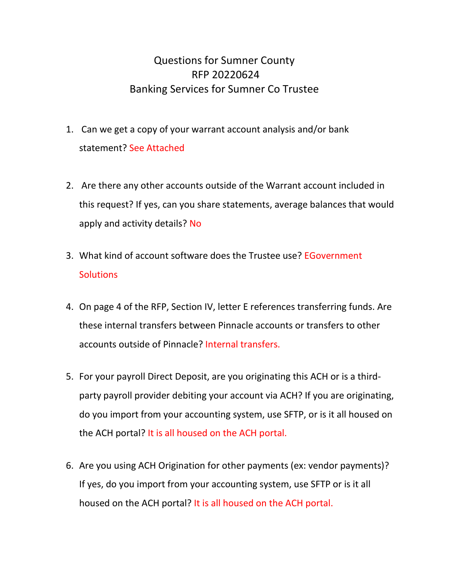## Questions for Sumner County RFP 20220624 Banking Services for Sumner Co Trustee

- 1. Can we get a copy of your warrant account analysis and/or bank statement? See Attached
- 2. Are there any other accounts outside of the Warrant account included in this request? If yes, can you share statements, average balances that would apply and activity details? No
- 3. What kind of account software does the Trustee use? EGovernment **Solutions**
- 4. On page 4 of the RFP, Section IV, letter E references transferring funds. Are these internal transfers between Pinnacle accounts or transfers to other accounts outside of Pinnacle? Internal transfers.
- 5. For your payroll Direct Deposit, are you originating this ACH or is a thirdparty payroll provider debiting your account via ACH? If you are originating, do you import from your accounting system, use SFTP, or is it all housed on the ACH portal? It is all housed on the ACH portal.
- 6. Are you using ACH Origination for other payments (ex: vendor payments)? If yes, do you import from your accounting system, use SFTP or is it all housed on the ACH portal? It is all housed on the ACH portal.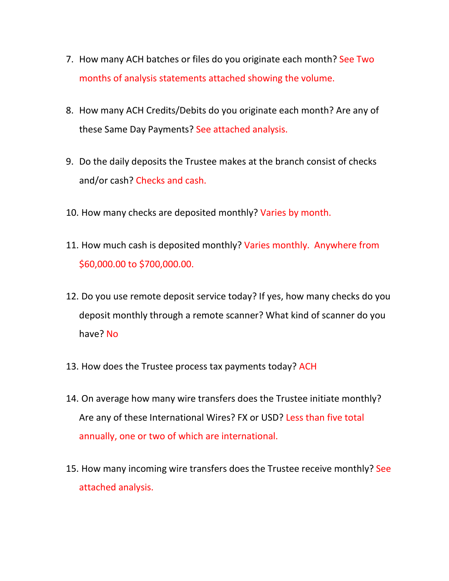- 7. How many ACH batches or files do you originate each month? See Two months of analysis statements attached showing the volume.
- 8. How many ACH Credits/Debits do you originate each month? Are any of these Same Day Payments? See attached analysis.
- 9. Do the daily deposits the Trustee makes at the branch consist of checks and/or cash? Checks and cash.
- 10. How many checks are deposited monthly? Varies by month.
- 11. How much cash is deposited monthly? Varies monthly. Anywhere from \$60,000.00 to \$700,000.00.
- 12. Do you use remote deposit service today? If yes, how many checks do you deposit monthly through a remote scanner? What kind of scanner do you have? No
- 13. How does the Trustee process tax payments today? ACH
- 14. On average how many wire transfers does the Trustee initiate monthly? Are any of these International Wires? FX or USD? Less than five total annually, one or two of which are international.
- 15. How many incoming wire transfers does the Trustee receive monthly? See attached analysis.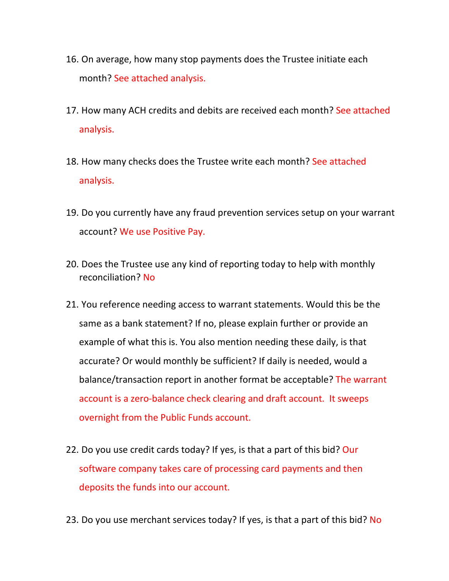- 16. On average, how many stop payments does the Trustee initiate each month? See attached analysis.
- 17. How many ACH credits and debits are received each month? See attached analysis.
- 18. How many checks does the Trustee write each month? See attached analysis.
- 19. Do you currently have any fraud prevention services setup on your warrant account? We use Positive Pay.
- 20. Does the Trustee use any kind of reporting today to help with monthly reconciliation? No
- 21. You reference needing access to warrant statements. Would this be the same as a bank statement? If no, please explain further or provide an example of what this is. You also mention needing these daily, is that accurate? Or would monthly be sufficient? If daily is needed, would a balance/transaction report in another format be acceptable? The warrant account is a zero-balance check clearing and draft account. It sweeps overnight from the Public Funds account.
- 22. Do you use credit cards today? If yes, is that a part of this bid? Our software company takes care of processing card payments and then deposits the funds into our account.
- 23. Do you use merchant services today? If yes, is that a part of this bid? No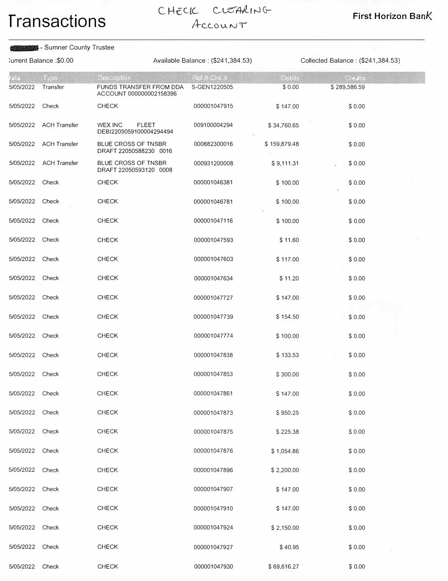# **Transactions** CHECIC CLEARING First Horizon Bank

#### - Sumner County Trustee XXXXXX

:urrent Balance :\$0.00 Available Balance : (\$241,384.53) Collected Balance : (\$241,384.53)

| astelling       | <b>Type</b>            | Description                                          | Ref.#-Chk.#  | <b>Debits</b> | <b>Crealts</b> |  |
|-----------------|------------------------|------------------------------------------------------|--------------|---------------|----------------|--|
| 5/05/2022       | Transfer               | FUNDS TRANSFER FROM DDA<br>ACCOUNT 000000002158396   | S-GEN1220505 | \$0.00        | \$289,586.59   |  |
| 5/05/2022       | Check                  | <b>CHECK</b>                                         | 000001047915 | \$147.00      | \$0.00         |  |
|                 | 5/05/2022 ACH Transfer | WEX INC<br><b>FLEET</b><br>DEBI2205059100004294494   | 009100004294 | \$34,760.65   | \$0.00         |  |
|                 | 5/05/2022 ACH Transfer | <b>BLUE CROSS OF TNSBR</b><br>DRAFT 22050588230 0016 | 000882300016 | \$159,879.48  | \$0.00         |  |
| 5/05/2022       | <b>ACH Transfer</b>    | BLUE CROSS OF TNSBR<br>DRAFT 22050593120 0008        | 000931200008 | \$9,111.31    | \$0.00         |  |
| 5/05/2022 Check |                        | <b>CHECK</b>                                         | 000001046381 | \$100.00      | \$0.00         |  |
| 5/05/2022 Check |                        | <b>CHECK</b>                                         | 000001046781 | \$100.00      | \$0.00         |  |
| 5/05/2022       | Check                  | <b>CHECK</b>                                         | 000001047116 | \$100.00      | \$ 0.00        |  |
| 5/05/2022 Check |                        | <b>CHECK</b>                                         | 000001047593 | \$11.60       | \$0.00         |  |
| 5/05/2022 Check |                        | <b>CHECK</b>                                         | 000001047603 | \$117.00      | \$0.00         |  |
| 5/05/2022 Check |                        | <b>CHECK</b>                                         | 000001047634 | \$11.20       | \$0.00         |  |
| 5/05/2022 Check |                        | <b>CHECK</b>                                         | 000001047727 | \$147.00      | \$0.00         |  |
| 5/05/2022 Check |                        | <b>CHECK</b>                                         | 000001047739 | \$154.50      | \$0.00         |  |
| 5/05/2022 Check |                        | <b>CHECK</b>                                         | 000001047774 | \$100.00      | \$0.00         |  |
| 5/05/2022 Check |                        | <b>CHECK</b>                                         | 000001047838 | \$133.53      | \$0.00         |  |
| 5/05/2022       | Check                  | <b>CHECK</b>                                         | 000001047853 | \$300.00      | \$0.00         |  |
| 5/05/2022 Check |                        | <b>CHECK</b>                                         | 000001047861 | \$147.00      | \$0.00         |  |
| 5/05/2022 Check |                        | <b>CHECK</b>                                         | 000001047873 | \$950.25      | \$0.00         |  |
| 5/05/2022       | Check                  | <b>CHECK</b>                                         | 000001047875 | \$225.38      | \$0.00         |  |
| 5/05/2022 Check |                        | <b>CHECK</b>                                         | 000001047876 | \$1,054.86    | \$0.00         |  |
| 5/05/2022 Check |                        | <b>CHECK</b>                                         | 000001047896 | \$2,200.00    | \$0.00         |  |
| 5/05/2022 Check |                        | <b>CHECK</b>                                         | 000001047907 | \$147.00      | \$0.00         |  |
| 5/05/2022 Check |                        | <b>CHECK</b>                                         | 000001047910 | \$147.00      | \$0.00         |  |
| 5/05/2022 Check |                        | <b>CHECK</b>                                         | 000001047924 | \$2,150.00    | \$0.00         |  |
| 5/05/2022 Check |                        | <b>CHECK</b>                                         | 000001047927 | \$40.95       | \$0.00         |  |
| 5/05/2022       | Check                  | <b>CHECK</b>                                         | 000001047930 | \$69,616.27   | \$ 0.00        |  |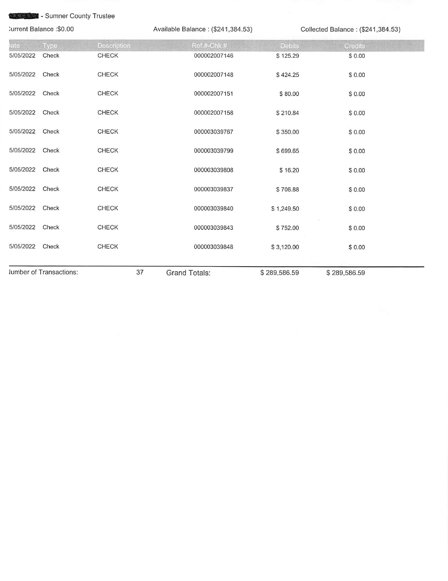### XXXXXX

| :urrent Balance: \$0.00 |                         |              | Available Balance: (\$241,384.53) |              | Collected Balance: (\$241,384.53) |  |  |
|-------------------------|-------------------------|--------------|-----------------------------------|--------------|-----------------------------------|--|--|
| ate                     | <b>Type</b>             | Description  | Ref.#-Chk.#                       | Debits       | Credits                           |  |  |
| 5/05/2022               | Check                   | <b>CHECK</b> | 000002007146                      | \$125.29     | \$0.00                            |  |  |
| 5/05/2022               | Check                   | <b>CHECK</b> | 000002007148                      | \$424.25     | \$0.00                            |  |  |
| 5/05/2022 Check         |                         | <b>CHECK</b> | 000002007151                      | \$80.00      | \$0.00                            |  |  |
| 5/05/2022               | Check                   | <b>CHECK</b> | 000002007158                      | \$210.84     | \$0.00                            |  |  |
| 5/05/2022               | Check                   | CHECK        | 000003039767                      | \$350.00     | \$0.00                            |  |  |
| 5/05/2022               | Check                   | <b>CHECK</b> | 000003039799                      | \$699.65     | \$0.00                            |  |  |
| 5/05/2022               | Check                   | <b>CHECK</b> | 000003039808                      | \$16.20      | \$0.00                            |  |  |
| 5/05/2022 Check         |                         | <b>CHECK</b> | 000003039837                      | \$706.88     | \$0.00                            |  |  |
| 5/05/2022 Check         |                         | <b>CHECK</b> | 000003039840                      | \$1,249.50   | \$0.00                            |  |  |
| 5/05/2022 Check         |                         | <b>CHECK</b> | 000003039843                      | \$752.00     | \$0.00                            |  |  |
| 5/05/2022 Check         |                         | <b>CHECK</b> | 000003039848                      | \$3,120.00   | \$0.00                            |  |  |
|                         | lumber of Transactions: | 37           | <b>Grand Totals:</b>              | \$289,586.59 | \$289,586.59                      |  |  |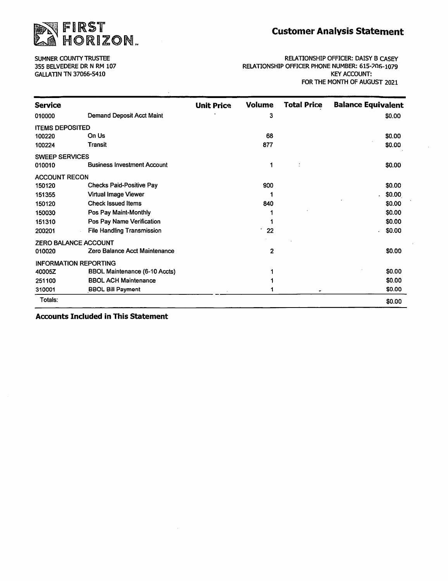

SUMNER COUNTY TRUSTEE 355 BELVEDERE DR N RM 107 **GALLATIN TN 37066-5410** 

RELATIONSHIP OFFICER: DAISY B CASEY RELATIONSHIP OFFICER PHONE NUMBER: 615-206-1079 **KEY ACCOUNT:** FOR THE MONTH OF AUGUST 2021

| <b>Service</b>               |                                      | <b>Unit Price</b> | <b>Volume</b> | Total Price | <b>Balance Equivalent</b> |
|------------------------------|--------------------------------------|-------------------|---------------|-------------|---------------------------|
| 010000                       | Demand Deposit Acct Maint            |                   | 3             |             | \$0.00                    |
| <b>ITEMS DEPOSITED</b>       |                                      |                   |               |             |                           |
| 100220                       | On Us                                |                   | 68            |             | \$0.00                    |
| 100224                       | Transit                              |                   | 877           |             | \$0.00                    |
| <b>SWEEP SERVICES</b>        |                                      |                   |               |             |                           |
| 010010                       | <b>Business Investment Account</b>   |                   | 1             |             | \$0.00                    |
| <b>ACCOUNT RECON</b>         |                                      |                   |               |             |                           |
| 150120                       | <b>Checks Paid-Positive Pay</b>      |                   | 900           |             | \$0.00                    |
| 151355                       | <b>Virtual Image Viewer</b>          |                   |               |             | \$0.00                    |
| 150120                       | <b>Check Issued Items</b>            |                   | 840           |             | \$0.00                    |
| 150030                       | Pos Pay Maint-Monthly                |                   |               |             | \$0.00                    |
| 151310                       | Pos Pay Name Verification            |                   |               |             | \$0.00                    |
| 200201                       | <b>File Handling Transmission</b>    |                   | 22            |             | \$0.00                    |
| <b>ZERO BALANCE ACCOUNT</b>  |                                      |                   |               |             |                           |
| 010020                       | Zero Balance Acct Maintenance        |                   | $\mathbf{2}$  |             | \$0.00                    |
| <b>INFORMATION REPORTING</b> |                                      |                   |               |             |                           |
| 40005Z                       | <b>BBOL Maintenance (6-10 Accts)</b> |                   |               |             | \$0.00                    |
| 251100                       | <b>BBOL ACH Maintenance</b>          |                   |               |             | \$0.00                    |
| 310001                       | <b>BBOL Bill Payment</b>             |                   |               | ٠           | \$0.00                    |
| Totals:                      |                                      |                   |               |             | \$0.00                    |

**Accounts Included in This Statement**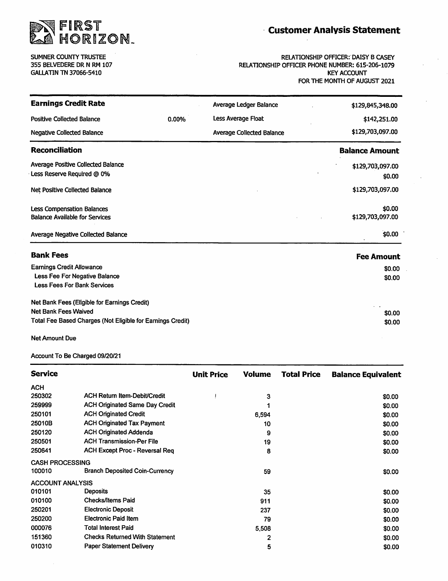

**Customer Analysis Statement** 

 $\bar{z}$ 

SUMNER COUNTY TRUSTEE 355 BELVEDERE DR N RM 107 **GALLATIN TN 37066-5410** 

**RELATIONSHIP OFFICER: DAISY B CASEY** RELATIONSHIP OFFICER PHONE NUMBER: 615-206-1079 **KEY ACCOUNT** FOR THE MONTH OF AUGUST 2021

| <b>Earnings Credit Rate</b>                                |       | Average Ledger Balance           | \$129,845,348.00      |
|------------------------------------------------------------|-------|----------------------------------|-----------------------|
| <b>Positive Collected Balance</b>                          | 0.00% | Less Average Float               | \$142,251.00          |
| <b>Negative Collected Balance</b>                          |       | <b>Average Collected Balance</b> | \$129,703,097.00      |
| <b>Reconciliation</b>                                      |       |                                  | <b>Balance Amount</b> |
| Average Positive Collected Balance                         |       |                                  | \$129,703,097.00      |
| Less Reserve Required @ 0%                                 |       |                                  | \$0.00                |
| Net Positive Collected Balance                             |       |                                  | \$129,703,097.00      |
| <b>Less Compensation Balances</b>                          |       |                                  | \$0.00                |
| <b>Balance Available for Services</b>                      |       |                                  | \$129,703,097.00      |
| <b>Average Negative Collected Balance</b>                  |       |                                  | \$0.00                |
| <b>Bank Fees</b>                                           |       |                                  | <b>Fee Amount</b>     |
| <b>Earnings Credit Allowance</b>                           |       |                                  | \$0.00                |
| Less Fee For Negative Balance                              |       |                                  | \$0.00                |
| <b>Less Fees For Bank Services</b>                         |       |                                  |                       |
| Net Bank Fees (Eligible for Earnings Credit)               |       |                                  |                       |
| <b>Net Bank Fees Waived</b>                                |       |                                  | \$0.00                |
| Total Fee Based Charges (Not Eligible for Earnings Credit) |       |                                  | \$0.00                |

**Net Amount Due** 

Account To Be Charged 09/20/21

| <b>Service</b>          |                                       | <b>Unit Price</b> | <b>Volume</b> | <b>Total Price</b> | <b>Balance Equivalent</b> |
|-------------------------|---------------------------------------|-------------------|---------------|--------------------|---------------------------|
| <b>ACH</b>              |                                       |                   |               |                    |                           |
| 250302                  | <b>ACH Return Item-Debit/Credit</b>   |                   | 3             |                    | \$0.00                    |
| 259999                  | <b>ACH Originated Same Day Credit</b> |                   |               |                    | \$0.00                    |
| 250101                  | <b>ACH Originated Credit</b>          |                   | 6,594         |                    | \$0.00                    |
| 25010B                  | <b>ACH Originated Tax Payment</b>     |                   | 10            |                    | \$0.00                    |
| 250120                  | <b>ACH Originated Addenda</b>         |                   | 9             |                    | \$0.00                    |
| 250501                  | <b>ACH Transmission-Per File</b>      |                   | 19            |                    | \$0.00                    |
| 250641                  | <b>ACH Except Proc - Reversal Req</b> |                   | 8             |                    | \$0.00                    |
| <b>CASH PROCESSING</b>  |                                       |                   |               |                    |                           |
| 100010                  | <b>Branch Deposited Coin-Currency</b> |                   | 59            |                    | \$0.00                    |
| <b>ACCOUNT ANALYSIS</b> |                                       |                   |               |                    |                           |
| 010101                  | <b>Deposits</b>                       |                   | 35            |                    | \$0.00                    |
| 010100                  | <b>Checks/Items Paid</b>              |                   | 911           |                    | \$0.00                    |
| 250201                  | <b>Electronic Deposit</b>             |                   | 237           |                    | \$0.00                    |
| 250200                  | <b>Electronic Paid Item</b>           |                   | 79            |                    | \$0.00                    |
| 000076                  | <b>Total Interest Paid</b>            |                   | 5,508         |                    | \$0.00                    |
| 151360                  | <b>Checks Returned With Statement</b> |                   | 2             |                    | \$0.00                    |
| 010310                  | <b>Paper Statement Delivery</b>       |                   | 5             |                    | \$0.00                    |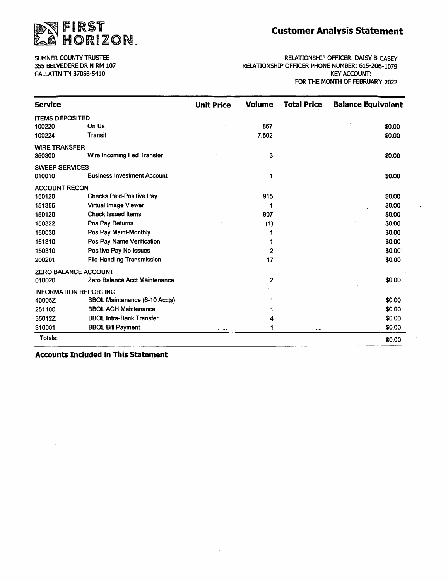

SUMNER COUNTY TRUSTEE 355 BELVEDERE DR N RM 107 **GALLATIN TN 37066-5410** 

RELATIONSHIP OFFICER: DAISY B CASEY RELATIONSHIP OFFICER PHONE NUMBER: 615-206-1079 **KEY ACCOUNT:** FOR THE MONTH OF FEBRUARY 2022

| <b>Service</b>               |                                      | <b>Unit Price</b> | <b>Volume</b> | <b>Total Price</b> | <b>Balance Equivalent</b> |
|------------------------------|--------------------------------------|-------------------|---------------|--------------------|---------------------------|
| <b>ITEMS DEPOSITED</b>       |                                      |                   |               |                    |                           |
| 100220                       | On Us                                |                   | 867           |                    | \$0.00                    |
| 100224                       | <b>Transit</b>                       |                   | 7,502         |                    | \$0.00                    |
| <b>WIRE TRANSFER</b>         |                                      |                   |               |                    |                           |
| 350300                       | Wire Incoming Fed Transfer           |                   | 3             |                    | \$0.00                    |
| <b>SWEEP SERVICES</b>        |                                      |                   |               |                    |                           |
| 010010                       | <b>Business Investment Account</b>   |                   | 1             |                    | \$0.00                    |
| <b>ACCOUNT RECON</b>         |                                      |                   |               |                    |                           |
| 150120                       | <b>Checks Paid-Positive Pay</b>      |                   | 915           |                    | \$0.00                    |
| 151355                       | Virtual Image Viewer                 |                   | 1             |                    | \$0.00                    |
| 150120                       | <b>Check Issued Items</b>            |                   | 907           |                    | \$0.00                    |
| 150322                       | Pos Pay Returns                      |                   | (1)           |                    | \$0.00                    |
| 150030                       | Pos Pay Maint-Monthly                |                   |               |                    | \$0.00                    |
| 151310                       | Pos Pay Name Verification            |                   |               |                    | \$0.00                    |
| 150310                       | <b>Positive Pay No Issues</b>        |                   | $\mathbf{2}$  |                    | \$0.00                    |
| 200201                       | <b>File Handling Transmission</b>    |                   | 17            |                    | \$0.00                    |
| <b>ZERO BALANCE ACCOUNT</b>  |                                      |                   |               |                    |                           |
| 010020                       | Zero Balance Acct Maintenance        |                   | 2             |                    | \$0.00                    |
| <b>INFORMATION REPORTING</b> |                                      |                   |               |                    |                           |
| 40005Z                       | <b>BBOL Maintenance (6-10 Accts)</b> |                   |               |                    | \$0.00                    |
| 251100                       | <b>BBOL ACH Maintenance</b>          |                   |               |                    | \$0.00                    |
| 35012Z                       | <b>BBOL Intra-Bank Transfer</b>      |                   |               |                    | \$0.00                    |
| 310001                       | <b>BBOL Bill Payment</b>             | $\cdots$          |               | $\cdot$ $\cdot$    | \$0.00                    |
| Totals:                      |                                      |                   |               |                    | \$0.00                    |

**Accounts Included in This Statement**